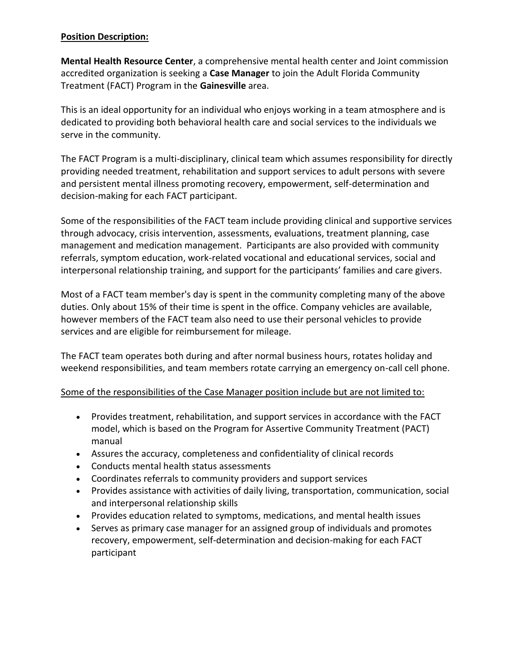## **Position Description:**

**Mental Health Resource Center**, a comprehensive mental health center and Joint commission accredited organization is seeking a **Case Manager** to join the Adult Florida Community Treatment (FACT) Program in the **Gainesville** area.

This is an ideal opportunity for an individual who enjoys working in a team atmosphere and is dedicated to providing both behavioral health care and social services to the individuals we serve in the community.

The FACT Program is a multi-disciplinary, clinical team which assumes responsibility for directly providing needed treatment, rehabilitation and support services to adult persons with severe and persistent mental illness promoting recovery, empowerment, self-determination and decision-making for each FACT participant.

Some of the responsibilities of the FACT team include providing clinical and supportive services through advocacy, crisis intervention, assessments, evaluations, treatment planning, case management and medication management. Participants are also provided with community referrals, symptom education, work-related vocational and educational services, social and interpersonal relationship training, and support for the participants' families and care givers.

Most of a FACT team member's day is spent in the community completing many of the above duties. Only about 15% of their time is spent in the office. Company vehicles are available, however members of the FACT team also need to use their personal vehicles to provide services and are eligible for reimbursement for mileage.

The FACT team operates both during and after normal business hours, rotates holiday and weekend responsibilities, and team members rotate carrying an emergency on-call cell phone.

## Some of the responsibilities of the Case Manager position include but are not limited to:

- Provides treatment, rehabilitation, and support services in accordance with the FACT model, which is based on the Program for Assertive Community Treatment (PACT) manual
- Assures the accuracy, completeness and confidentiality of clinical records
- Conducts mental health status assessments
- Coordinates referrals to community providers and support services
- Provides assistance with activities of daily living, transportation, communication, social and interpersonal relationship skills
- Provides education related to symptoms, medications, and mental health issues
- Serves as primary case manager for an assigned group of individuals and promotes recovery, empowerment, self-determination and decision-making for each FACT participant